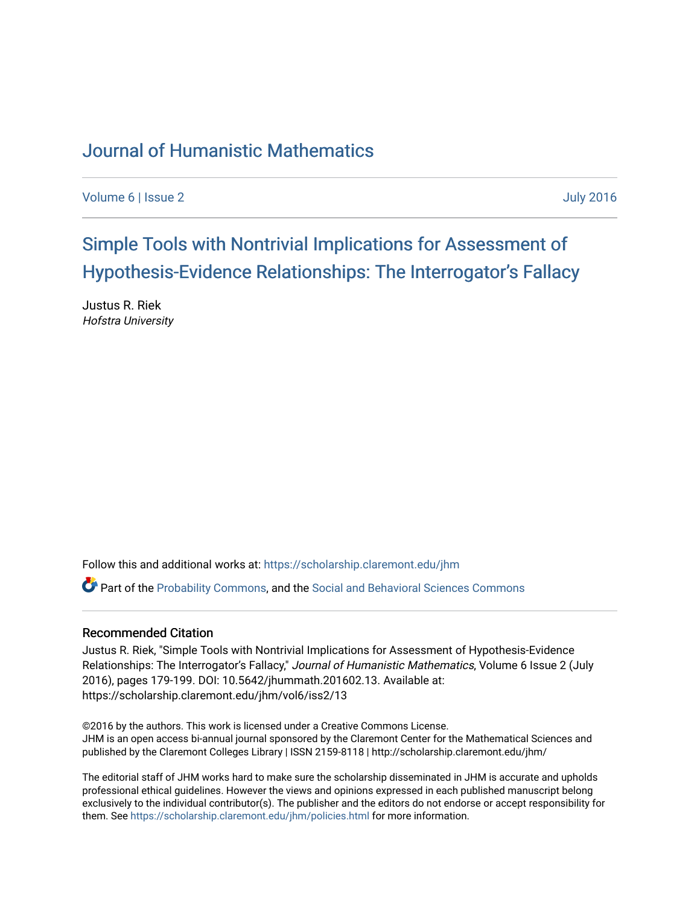# [Journal of Humanistic Mathematics](https://scholarship.claremont.edu/jhm)

[Volume 6](https://scholarship.claremont.edu/jhm/vol6) | [Issue 2](https://scholarship.claremont.edu/jhm/vol6/iss2) [July 2016](https://scholarship.claremont.edu/jhm/vol6/iss2) 

[Simple Tools with Nontrivial Implications for Assessment of](https://scholarship.claremont.edu/jhm/vol6/iss2/13) Hypothesis-Evidence Relationships: The Interrogator's Fallacy

Justus R. Riek Hofstra University

Follow this and additional works at: [https://scholarship.claremont.edu/jhm](https://scholarship.claremont.edu/jhm?utm_source=scholarship.claremont.edu%2Fjhm%2Fvol6%2Fiss2%2F13&utm_medium=PDF&utm_campaign=PDFCoverPages)

Part of the [Probability Commons](http://network.bepress.com/hgg/discipline/212?utm_source=scholarship.claremont.edu%2Fjhm%2Fvol6%2Fiss2%2F13&utm_medium=PDF&utm_campaign=PDFCoverPages), and the [Social and Behavioral Sciences Commons](http://network.bepress.com/hgg/discipline/316?utm_source=scholarship.claremont.edu%2Fjhm%2Fvol6%2Fiss2%2F13&utm_medium=PDF&utm_campaign=PDFCoverPages)

#### Recommended Citation

Justus R. Riek, "Simple Tools with Nontrivial Implications for Assessment of Hypothesis-Evidence Relationships: The Interrogator's Fallacy," Journal of Humanistic Mathematics, Volume 6 Issue 2 (July 2016), pages 179-199. DOI: 10.5642/jhummath.201602.13. Available at: https://scholarship.claremont.edu/jhm/vol6/iss2/13

©2016 by the authors. This work is licensed under a Creative Commons License. JHM is an open access bi-annual journal sponsored by the Claremont Center for the Mathematical Sciences and published by the Claremont Colleges Library | ISSN 2159-8118 | http://scholarship.claremont.edu/jhm/

The editorial staff of JHM works hard to make sure the scholarship disseminated in JHM is accurate and upholds professional ethical guidelines. However the views and opinions expressed in each published manuscript belong exclusively to the individual contributor(s). The publisher and the editors do not endorse or accept responsibility for them. See<https://scholarship.claremont.edu/jhm/policies.html> for more information.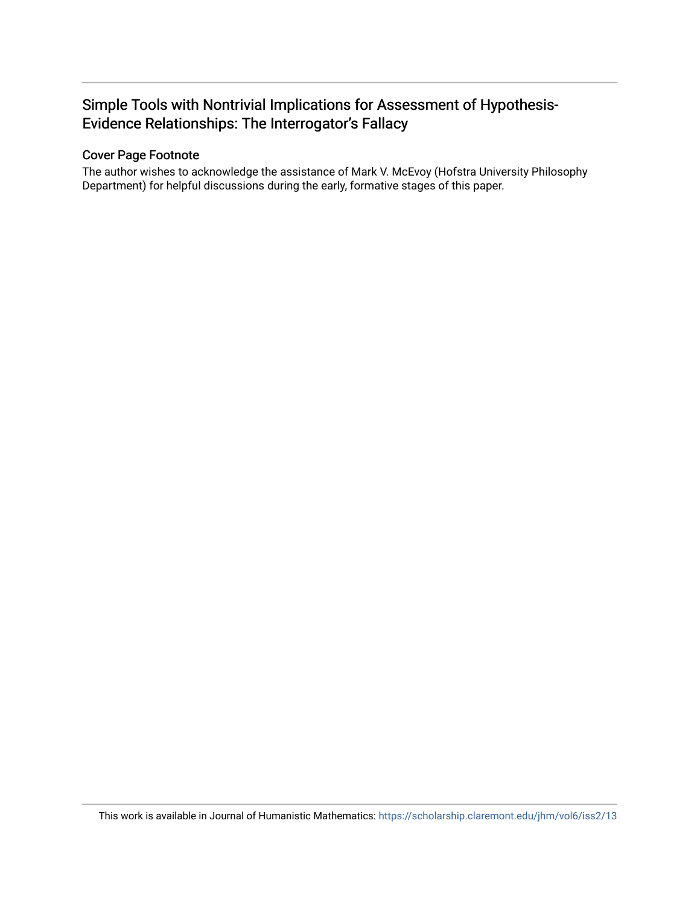## Simple Tools with Nontrivial Implications for Assessment of Hypothesis-Evidence Relationships: The Interrogator's Fallacy

## Cover Page Footnote

The author wishes to acknowledge the assistance of Mark V. McEvoy (Hofstra University Philosophy Department) for helpful discussions during the early, formative stages of this paper.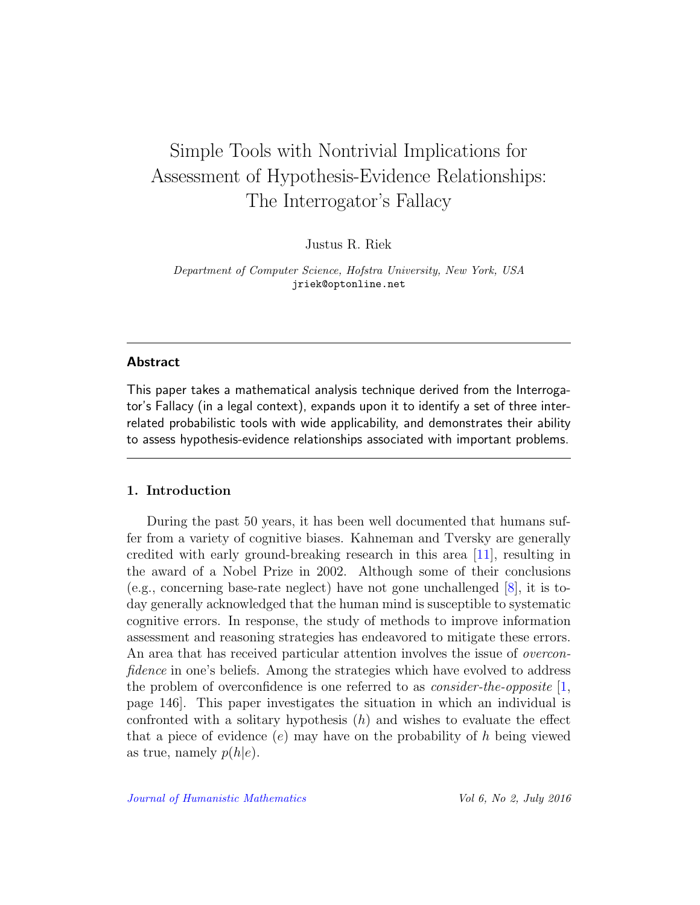# Simple Tools with Nontrivial Implications for Assessment of Hypothesis-Evidence Relationships: The Interrogator's Fallacy

Justus R. Riek

Department of Computer Science, Hofstra University, New York, USA jriek@optonline.net

#### Abstract

This paper takes a mathematical analysis technique derived from the Interrogator's Fallacy (in a legal context), expands upon it to identify a set of three interrelated probabilistic tools with wide applicability, and demonstrates their ability to assess hypothesis-evidence relationships associated with important problems.

### 1. Introduction

During the past 50 years, it has been well documented that humans suffer from a variety of cognitive biases. Kahneman and Tversky are generally credited with early ground-breaking research in this area [\[11\]](#page-22-0), resulting in the award of a Nobel Prize in 2002. Although some of their conclusions (e.g., concerning base-rate neglect) have not gone unchallenged [\[8\]](#page-22-1), it is today generally acknowledged that the human mind is susceptible to systematic cognitive errors. In response, the study of methods to improve information assessment and reasoning strategies has endeavored to mitigate these errors. An area that has received particular attention involves the issue of overconfidence in one's beliefs. Among the strategies which have evolved to address the problem of overconfidence is one referred to as *consider-the-opposite* [\[1,](#page-21-0) page 146]. This paper investigates the situation in which an individual is confronted with a solitary hypothesis  $(h)$  and wishes to evaluate the effect that a piece of evidence  $(e)$  may have on the probability of h being viewed as true, namely  $p(h|e)$ .

[Journal of Humanistic Mathematics](http://scholarship.claremont.edu/jhm/) Vol 6, No 2, July 2016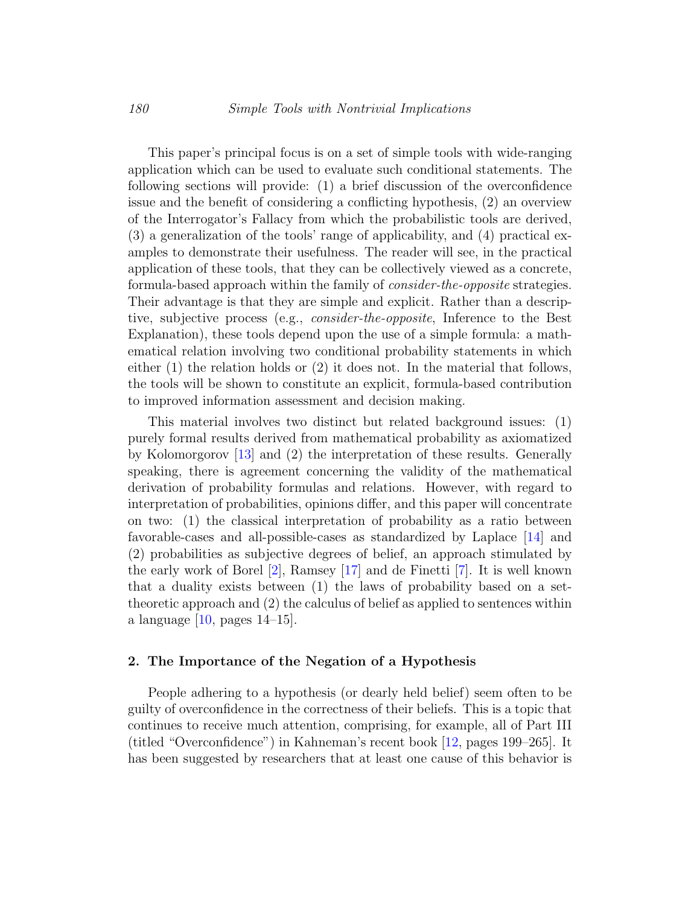This paper's principal focus is on a set of simple tools with wide-ranging application which can be used to evaluate such conditional statements. The following sections will provide: (1) a brief discussion of the overconfidence issue and the benefit of considering a conflicting hypothesis, (2) an overview of the Interrogator's Fallacy from which the probabilistic tools are derived, (3) a generalization of the tools' range of applicability, and (4) practical examples to demonstrate their usefulness. The reader will see, in the practical application of these tools, that they can be collectively viewed as a concrete, formula-based approach within the family of consider-the-opposite strategies. Their advantage is that they are simple and explicit. Rather than a descriptive, subjective process (e.g., consider-the-opposite, Inference to the Best Explanation), these tools depend upon the use of a simple formula: a mathematical relation involving two conditional probability statements in which either (1) the relation holds or (2) it does not. In the material that follows, the tools will be shown to constitute an explicit, formula-based contribution to improved information assessment and decision making.

This material involves two distinct but related background issues: (1) purely formal results derived from mathematical probability as axiomatized by Kolomorgorov [\[13\]](#page-22-2) and (2) the interpretation of these results. Generally speaking, there is agreement concerning the validity of the mathematical derivation of probability formulas and relations. However, with regard to interpretation of probabilities, opinions differ, and this paper will concentrate on two: (1) the classical interpretation of probability as a ratio between favorable-cases and all-possible-cases as standardized by Laplace [\[14\]](#page-22-3) and (2) probabilities as subjective degrees of belief, an approach stimulated by the early work of Borel [\[2\]](#page-21-1), Ramsey [\[17\]](#page-22-4) and de Finetti [\[7\]](#page-21-2). It is well known that a duality exists between (1) the laws of probability based on a settheoretic approach and (2) the calculus of belief as applied to sentences within a language  $[10, \text{ pages } 14-15]$  $[10, \text{ pages } 14-15]$ .

#### 2. The Importance of the Negation of a Hypothesis

People adhering to a hypothesis (or dearly held belief) seem often to be guilty of overconfidence in the correctness of their beliefs. This is a topic that continues to receive much attention, comprising, for example, all of Part III (titled "Overconfidence") in Kahneman's recent book [\[12,](#page-22-6) pages 199–265]. It has been suggested by researchers that at least one cause of this behavior is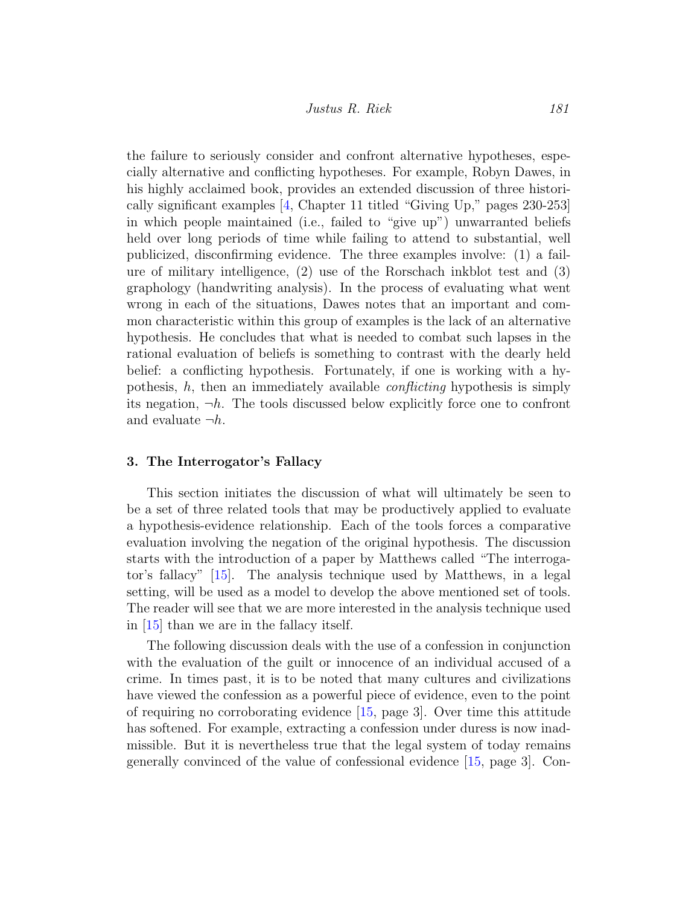the failure to seriously consider and confront alternative hypotheses, especially alternative and conflicting hypotheses. For example, Robyn Dawes, in his highly acclaimed book, provides an extended discussion of three historically significant examples [\[4,](#page-21-3) Chapter 11 titled "Giving Up," pages 230-253] in which people maintained (i.e., failed to "give up") unwarranted beliefs held over long periods of time while failing to attend to substantial, well publicized, disconfirming evidence. The three examples involve: (1) a failure of military intelligence, (2) use of the Rorschach inkblot test and (3) graphology (handwriting analysis). In the process of evaluating what went wrong in each of the situations, Dawes notes that an important and common characteristic within this group of examples is the lack of an alternative hypothesis. He concludes that what is needed to combat such lapses in the rational evaluation of beliefs is something to contrast with the dearly held belief: a conflicting hypothesis. Fortunately, if one is working with a hypothesis,  $h$ , then an immediately available *conflicting* hypothesis is simply its negation,  $\neg h$ . The tools discussed below explicitly force one to confront and evaluate  $\neg h$ .

#### 3. The Interrogator's Fallacy

This section initiates the discussion of what will ultimately be seen to be a set of three related tools that may be productively applied to evaluate a hypothesis-evidence relationship. Each of the tools forces a comparative evaluation involving the negation of the original hypothesis. The discussion starts with the introduction of a paper by Matthews called "The interrogator's fallacy" [\[15\]](#page-22-7). The analysis technique used by Matthews, in a legal setting, will be used as a model to develop the above mentioned set of tools. The reader will see that we are more interested in the analysis technique used in [\[15\]](#page-22-7) than we are in the fallacy itself.

The following discussion deals with the use of a confession in conjunction with the evaluation of the guilt or innocence of an individual accused of a crime. In times past, it is to be noted that many cultures and civilizations have viewed the confession as a powerful piece of evidence, even to the point of requiring no corroborating evidence [\[15,](#page-22-7) page 3]. Over time this attitude has softened. For example, extracting a confession under duress is now inadmissible. But it is nevertheless true that the legal system of today remains generally convinced of the value of confessional evidence [\[15,](#page-22-7) page 3]. Con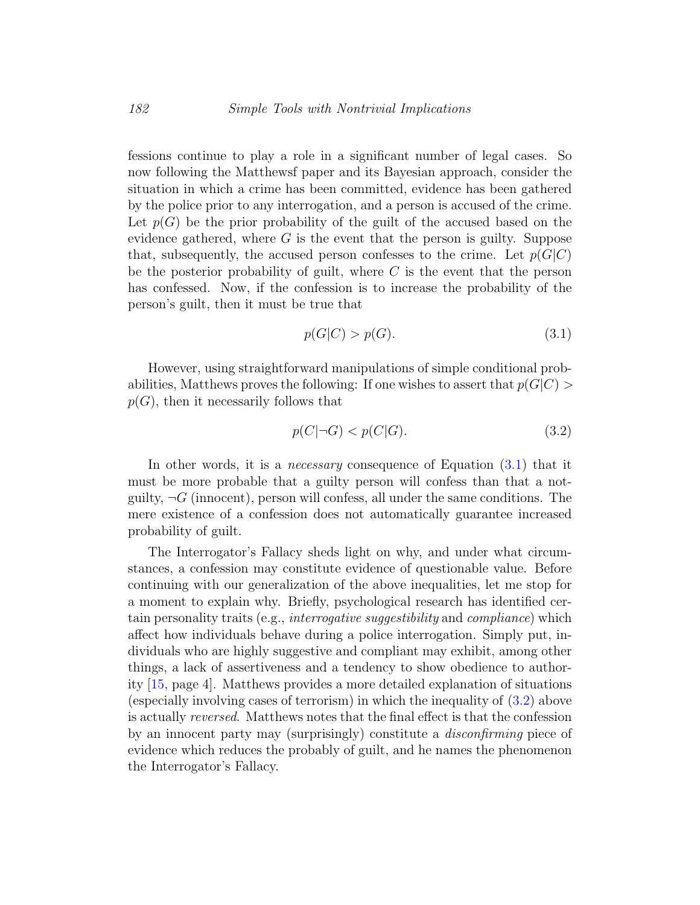fessions continue to play a role in a significant number of legal cases. So now following the Matthewsf paper and its Bayesian approach, consider the situation in which a crime has been committed, evidence has been gathered by the police prior to any interrogation, and a person is accused of the crime. Let  $p(G)$  be the prior probability of the guilt of the accused based on the evidence gathered, where  $G$  is the event that the person is guilty. Suppose that, subsequently, the accused person confesses to the crime. Let  $p(G|C)$ be the posterior probability of guilt, where  $C$  is the event that the person has confessed. Now, if the confession is to increase the probability of the person's guilt, then it must be true that

<span id="page-5-0"></span>
$$
p(G|C) > p(G). \tag{3.1}
$$

However, using straightforward manipulations of simple conditional probabilities, Matthews proves the following: If one wishes to assert that  $p(G|C)$  $p(G)$ , then it necessarily follows that

<span id="page-5-1"></span>
$$
p(C|\neg G) < p(C|G). \tag{3.2}
$$

In other words, it is a *necessary* consequence of Equation  $(3.1)$  that it must be more probable that a guilty person will confess than that a notguilty,  $\neg G$  (innocent), person will confess, all under the same conditions. The mere existence of a confession does not automatically guarantee increased probability of guilt.

The Interrogator's Fallacy sheds light on why, and under what circumstances, a confession may constitute evidence of questionable value. Before continuing with our generalization of the above inequalities, let me stop for a moment to explain why. Briefly, psychological research has identified certain personality traits (e.g., interrogative suggestibility and compliance) which affect how individuals behave during a police interrogation. Simply put, individuals who are highly suggestive and compliant may exhibit, among other things, a lack of assertiveness and a tendency to show obedience to authority [\[15,](#page-22-7) page 4]. Matthews provides a more detailed explanation of situations (especially involving cases of terrorism) in which the inequality of [\(3.2\)](#page-5-1) above is actually reversed. Matthews notes that the final effect is that the confession by an innocent party may (surprisingly) constitute a disconfirming piece of evidence which reduces the probably of guilt, and he names the phenomenon the Interrogator's Fallacy.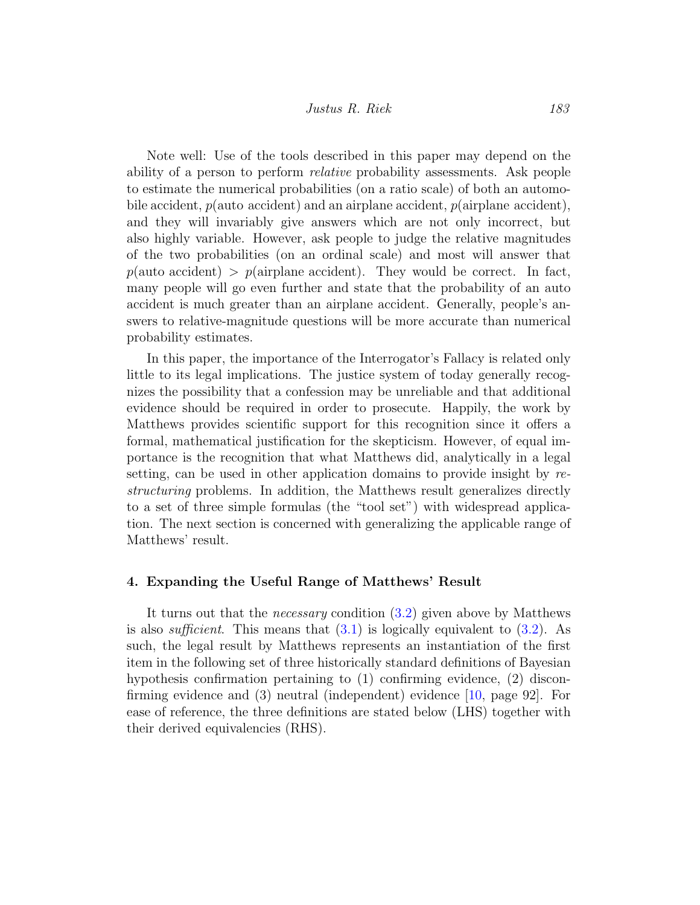Note well: Use of the tools described in this paper may depend on the ability of a person to perform relative probability assessments. Ask people to estimate the numerical probabilities (on a ratio scale) of both an automobile accident,  $p(\text{auto accident})$  and an airplane accident,  $p(\text{airplane accident})$ , and they will invariably give answers which are not only incorrect, but also highly variable. However, ask people to judge the relative magnitudes of the two probabilities (on an ordinal scale) and most will answer that  $p(\text{auto accident}) > p(\text{airplane accident})$ . They would be correct. In fact, many people will go even further and state that the probability of an auto accident is much greater than an airplane accident. Generally, people's answers to relative-magnitude questions will be more accurate than numerical probability estimates.

In this paper, the importance of the Interrogator's Fallacy is related only little to its legal implications. The justice system of today generally recognizes the possibility that a confession may be unreliable and that additional evidence should be required in order to prosecute. Happily, the work by Matthews provides scientific support for this recognition since it offers a formal, mathematical justification for the skepticism. However, of equal importance is the recognition that what Matthews did, analytically in a legal setting, can be used in other application domains to provide insight by restructuring problems. In addition, the Matthews result generalizes directly to a set of three simple formulas (the "tool set") with widespread application. The next section is concerned with generalizing the applicable range of Matthews' result.

#### <span id="page-6-0"></span>4. Expanding the Useful Range of Matthews' Result

It turns out that the necessary condition [\(3.2\)](#page-5-1) given above by Matthews is also *sufficient*. This means that  $(3.1)$  is logically equivalent to  $(3.2)$ . As such, the legal result by Matthews represents an instantiation of the first item in the following set of three historically standard definitions of Bayesian hypothesis confirmation pertaining to (1) confirming evidence, (2) disconfirming evidence and (3) neutral (independent) evidence [\[10,](#page-22-5) page 92]. For ease of reference, the three definitions are stated below (LHS) together with their derived equivalencies (RHS).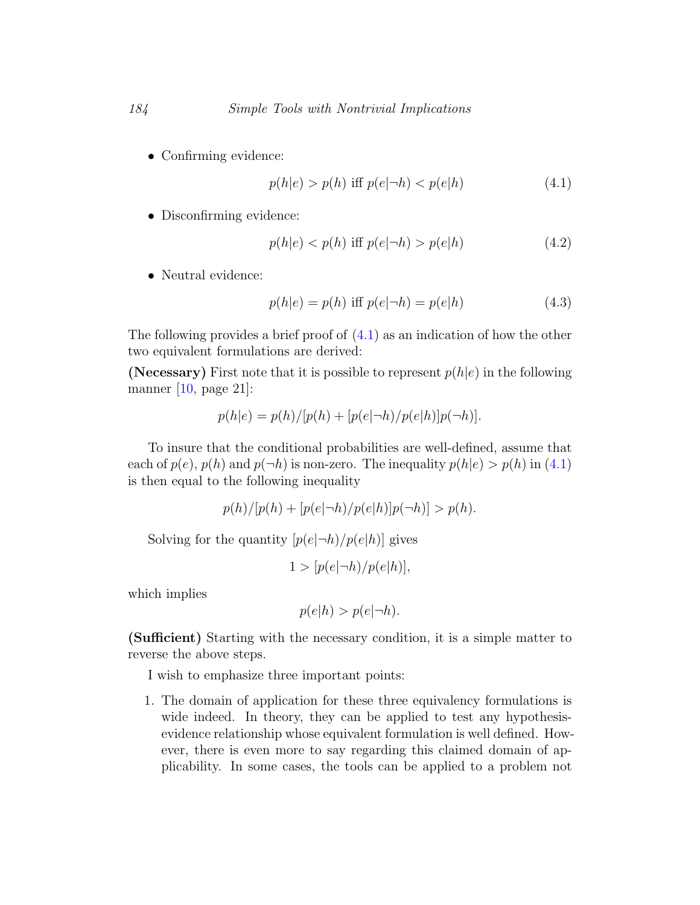• Confirming evidence:

<span id="page-7-2"></span><span id="page-7-0"></span>
$$
p(h|e) > p(h) \text{ iff } p(e|\neg h) < p(e|h) \tag{4.1}
$$

• Disconfirming evidence:

<span id="page-7-1"></span>
$$
p(h|e) < p(h) \text{ iff } p(e|\neg h) > p(e|h) \tag{4.2}
$$

• Neutral evidence:

$$
p(h|e) = p(h) \text{ iff } p(e|\neg h) = p(e|h) \tag{4.3}
$$

The following provides a brief proof of  $(4.1)$  as an indication of how the other two equivalent formulations are derived:

(Necessary) First note that it is possible to represent  $p(h|e)$  in the following manner [\[10,](#page-22-5) page 21]:

$$
p(h|e) = p(h)/[p(h) + [p(e|\neg h)/p(e|h)]p(\neg h)].
$$

To insure that the conditional probabilities are well-defined, assume that each of  $p(e)$ ,  $p(h)$  and  $p(\neg h)$  is non-zero. The inequality  $p(h|e) > p(h)$  in [\(4.1\)](#page-7-0) is then equal to the following inequality

$$
p(h)/[p(h) + [p(e|\neg h)/p(e|h)]p(\neg h)] > p(h).
$$

Solving for the quantity  $[p(e|\neg h)/p(e|h)]$  gives

$$
1 > [p(e|\neg h)/p(e|h)],
$$

which implies

$$
p(e|h) > p(e|\neg h).
$$

(Sufficient) Starting with the necessary condition, it is a simple matter to reverse the above steps.

I wish to emphasize three important points:

1. The domain of application for these three equivalency formulations is wide indeed. In theory, they can be applied to test any hypothesisevidence relationship whose equivalent formulation is well defined. However, there is even more to say regarding this claimed domain of applicability. In some cases, the tools can be applied to a problem not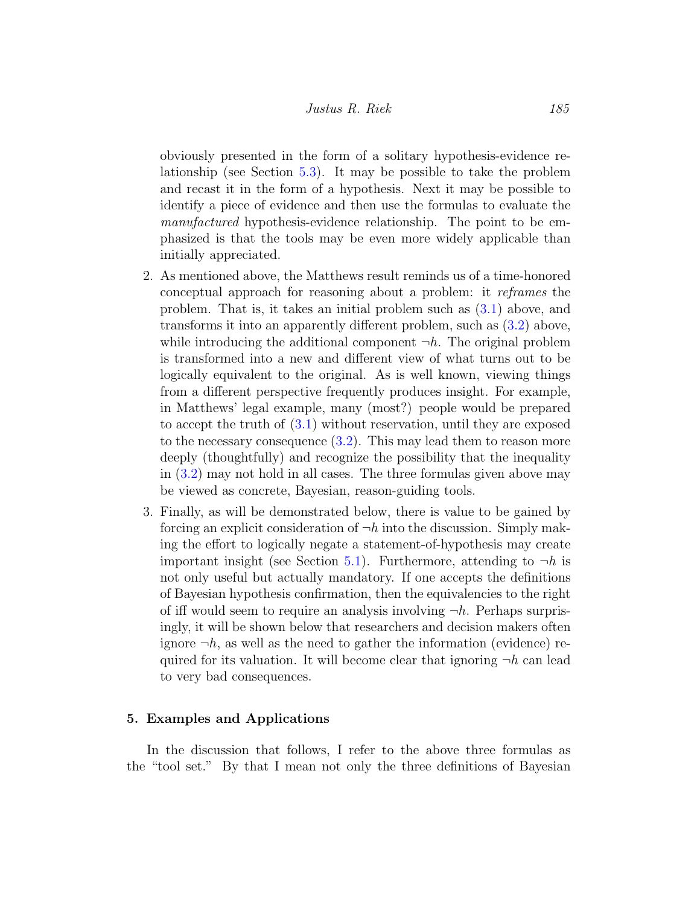obviously presented in the form of a solitary hypothesis-evidence relationship (see Section [5.3\)](#page-13-0). It may be possible to take the problem and recast it in the form of a hypothesis. Next it may be possible to identify a piece of evidence and then use the formulas to evaluate the manufactured hypothesis-evidence relationship. The point to be emphasized is that the tools may be even more widely applicable than initially appreciated.

- 2. As mentioned above, the Matthews result reminds us of a time-honored conceptual approach for reasoning about a problem: it reframes the problem. That is, it takes an initial problem such as [\(3.1\)](#page-5-0) above, and transforms it into an apparently different problem, such as [\(3.2\)](#page-5-1) above, while introducing the additional component  $\neg h$ . The original problem is transformed into a new and different view of what turns out to be logically equivalent to the original. As is well known, viewing things from a different perspective frequently produces insight. For example, in Matthews' legal example, many (most?) people would be prepared to accept the truth of [\(3.1\)](#page-5-0) without reservation, until they are exposed to the necessary consequence  $(3.2)$ . This may lead them to reason more deeply (thoughtfully) and recognize the possibility that the inequality in [\(3.2\)](#page-5-1) may not hold in all cases. The three formulas given above may be viewed as concrete, Bayesian, reason-guiding tools.
- 3. Finally, as will be demonstrated below, there is value to be gained by forcing an explicit consideration of  $\neg h$  into the discussion. Simply making the effort to logically negate a statement-of-hypothesis may create important insight (see Section [5.1\)](#page-9-0). Furthermore, attending to  $\neg h$  is not only useful but actually mandatory. If one accepts the definitions of Bayesian hypothesis confirmation, then the equivalencies to the right of iff would seem to require an analysis involving  $\neg h$ . Perhaps surprisingly, it will be shown below that researchers and decision makers often ignore  $\neg h$ , as well as the need to gather the information (evidence) required for its valuation. It will become clear that ignoring  $\neg h$  can lead to very bad consequences.

#### 5. Examples and Applications

In the discussion that follows, I refer to the above three formulas as the "tool set." By that I mean not only the three definitions of Bayesian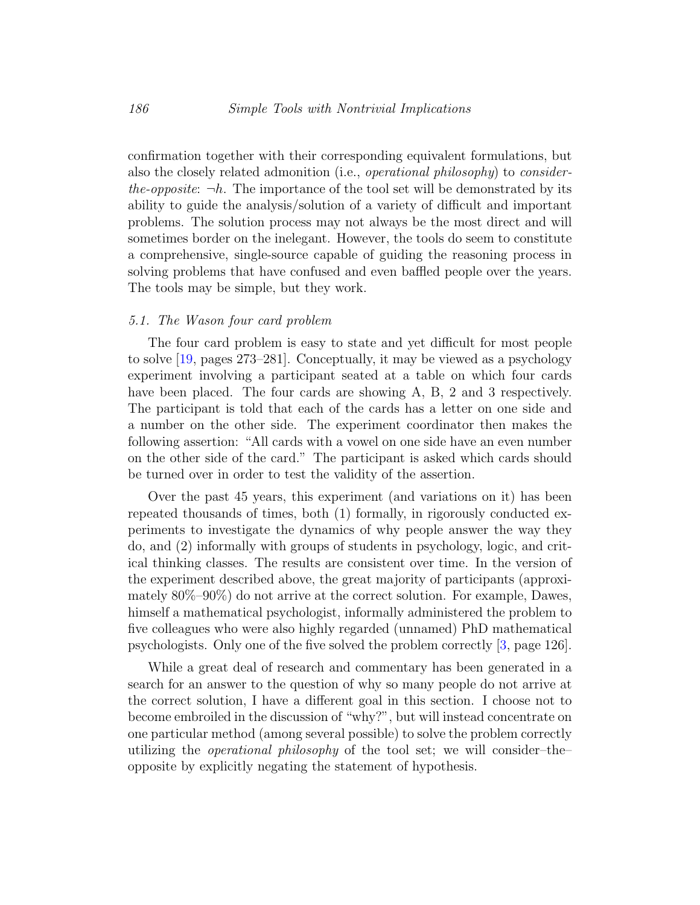confirmation together with their corresponding equivalent formulations, but also the closely related admonition (i.e., operational philosophy) to considerthe-opposite:  $\neg h$ . The importance of the tool set will be demonstrated by its ability to guide the analysis/solution of a variety of difficult and important problems. The solution process may not always be the most direct and will sometimes border on the inelegant. However, the tools do seem to constitute a comprehensive, single-source capable of guiding the reasoning process in solving problems that have confused and even baffled people over the years. The tools may be simple, but they work.

#### <span id="page-9-0"></span>5.1. The Wason four card problem

The four card problem is easy to state and yet difficult for most people to solve [\[19,](#page-22-8) pages 273–281]. Conceptually, it may be viewed as a psychology experiment involving a participant seated at a table on which four cards have been placed. The four cards are showing A, B, 2 and 3 respectively. The participant is told that each of the cards has a letter on one side and a number on the other side. The experiment coordinator then makes the following assertion: "All cards with a vowel on one side have an even number on the other side of the card." The participant is asked which cards should be turned over in order to test the validity of the assertion.

Over the past 45 years, this experiment (and variations on it) has been repeated thousands of times, both (1) formally, in rigorously conducted experiments to investigate the dynamics of why people answer the way they do, and (2) informally with groups of students in psychology, logic, and critical thinking classes. The results are consistent over time. In the version of the experiment described above, the great majority of participants (approximately 80%–90%) do not arrive at the correct solution. For example, Dawes, himself a mathematical psychologist, informally administered the problem to five colleagues who were also highly regarded (unnamed) PhD mathematical psychologists. Only one of the five solved the problem correctly [\[3,](#page-21-4) page 126].

While a great deal of research and commentary has been generated in a search for an answer to the question of why so many people do not arrive at the correct solution, I have a different goal in this section. I choose not to become embroiled in the discussion of "why?", but will instead concentrate on one particular method (among several possible) to solve the problem correctly utilizing the operational philosophy of the tool set; we will consider–the– opposite by explicitly negating the statement of hypothesis.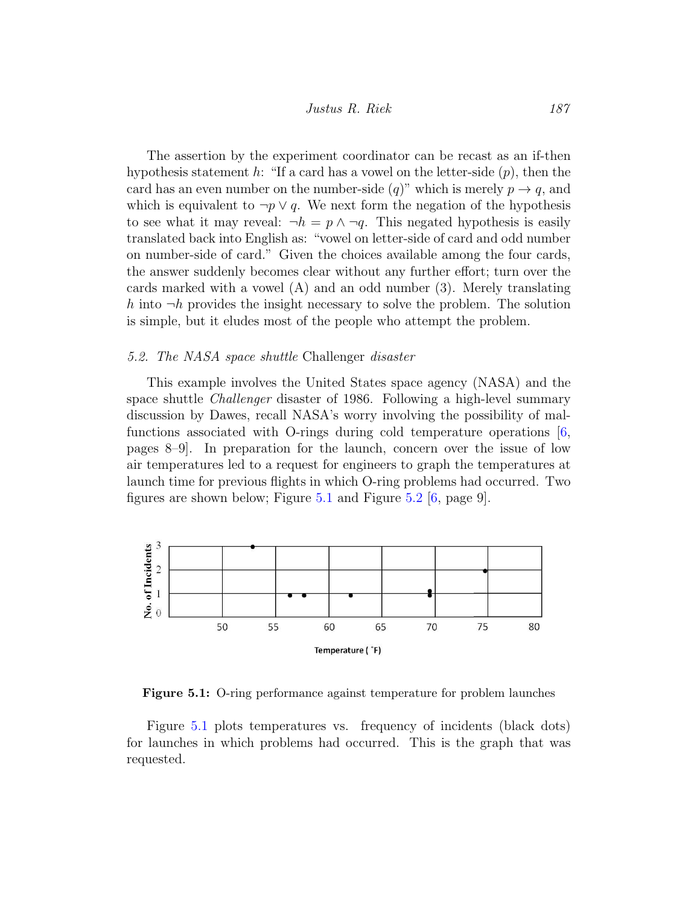The assertion by the experiment coordinator can be recast as an if-then hypothesis statement h: "If a card has a vowel on the letter-side  $(p)$ , then the card has an even number on the number-side  $(q)$ " which is merely  $p \to q$ , and which is equivalent to  $\neg p \lor q$ . We next form the negation of the hypothesis to see what it may reveal:  $\neg h = p \land \neg q$ . This negated hypothesis is easily translated back into English as: "vowel on letter-side of card and odd number on number-side of card." Given the choices available among the four cards, the answer suddenly becomes clear without any further effort; turn over the cards marked with a vowel (A) and an odd number (3). Merely translating h into  $\neg h$  provides the insight necessary to solve the problem. The solution is simple, but it eludes most of the people who attempt the problem.

#### 5.2. The NASA space shuttle Challenger disaster

This example involves the United States space agency (NASA) and the space shuttle *Challenger* disaster of 1986. Following a high-level summary discussion by Dawes, recall NASA's worry involving the possibility of malfunctions associated with O-rings during cold temperature operations [\[6,](#page-21-5) pages 8–9. In preparation for the launch, concern over the issue of low pregard  $\sigma$  of the metallicity for the launch, concern over the issue of low air temperatures led to a request for engineers to graph the temperatures at launch time for previous flights in which O-ring problems had occurred. Two figures are shown below; Figure [5.1](#page-10-0) and Figure [5.2](#page-11-0) [\[6,](#page-21-5) page 9]. 1 and Figure 5-2 [6, page 9]. retatures for to a request for engineers to graph the temperatures at

<span id="page-10-0"></span>

Figure 5.1: O-ring performance against temperature for problem launches

Figure [5.1](#page-10-0) plots temperatures vs. frequency of incidents (black dots) for launches in which problems had occurred. This is the graph that was requested.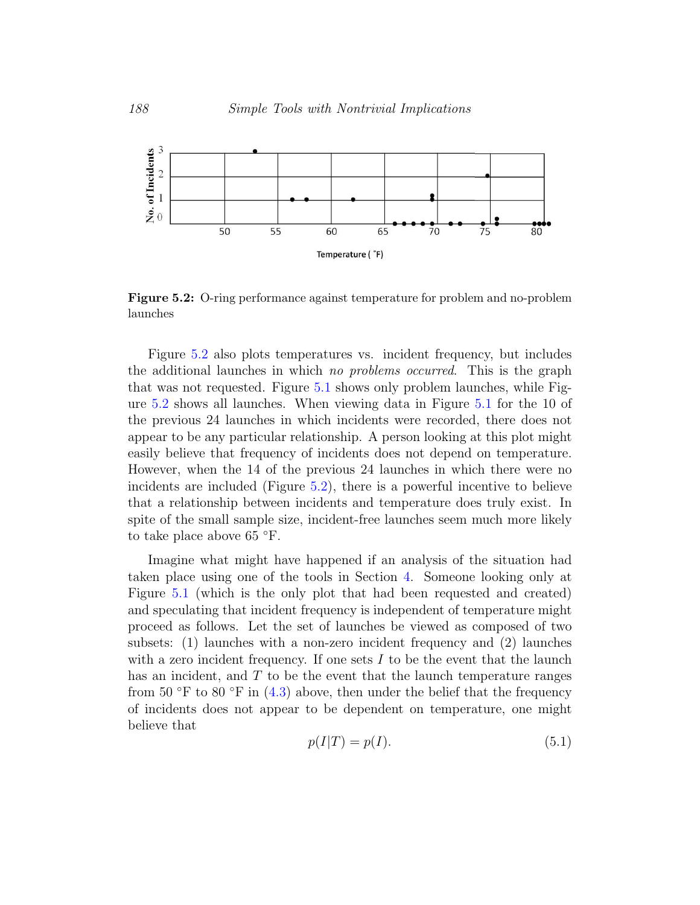<span id="page-11-0"></span>

Figure 5.2: O-ring performance against temperature for problem and no-problem launches

Figure [5.2](#page-11-0) also plots temperatures vs. incident frequency, but includes the additional launches in which no problems occurred. This is the graph that was not requested. Figure [5.1](#page-10-0) shows only problem launches, while Figure [5.2](#page-11-0) shows all launches. When viewing data in Figure [5.1](#page-10-0) for the 10 of the previous 24 launches in which incidents were recorded, there does not appear to be any particular relationship. A person looking at this plot might easily believe that frequency of incidents does not depend on temperature. However, when the 14 of the previous 24 launches in which there were no incidents are included (Figure [5.2\)](#page-11-0), there is a powerful incentive to believe that a relationship between incidents and temperature does truly exist. In spite of the small sample size, incident-free launches seem much more likely to take place above 65  $\degree$ F.

Imagine what might have happened if an analysis of the situation had taken place using one of the tools in Section [4.](#page-6-0) Someone looking only at Figure [5.1](#page-10-0) (which is the only plot that had been requested and created) and speculating that incident frequency is independent of temperature might proceed as follows. Let the set of launches be viewed as composed of two subsets: (1) launches with a non-zero incident frequency and (2) launches with a zero incident frequency. If one sets  $I$  to be the event that the launch has an incident, and  $T$  to be the event that the launch temperature ranges from 50 °F to 80 °F in  $(4.3)$  above, then under the belief that the frequency of incidents does not appear to be dependent on temperature, one might believe that

<span id="page-11-1"></span>
$$
p(I|T) = p(I). \tag{5.1}
$$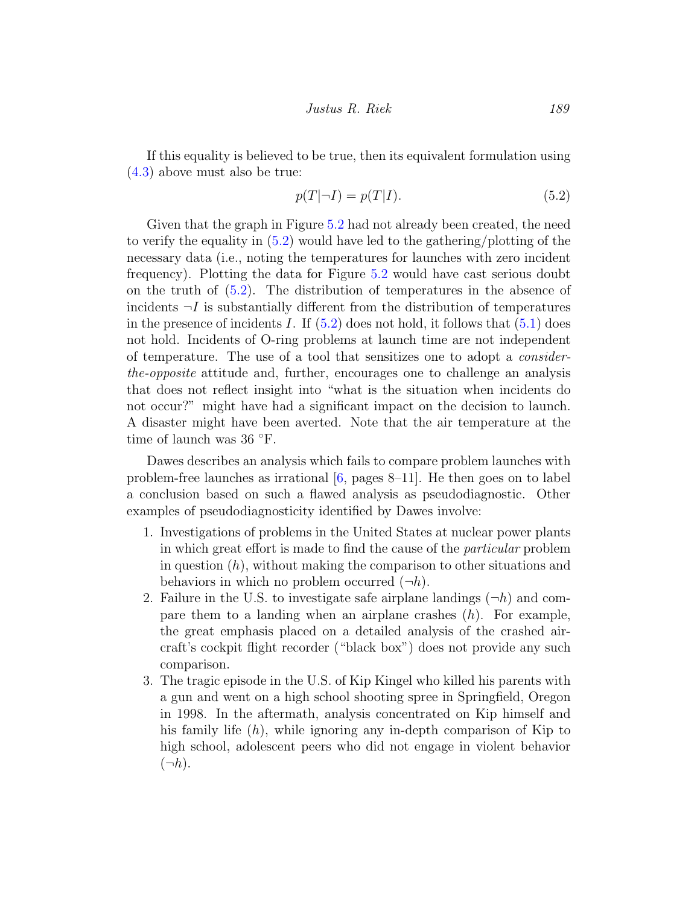If this equality is believed to be true, then its equivalent formulation using [\(4.3\)](#page-7-1) above must also be true:

<span id="page-12-0"></span>
$$
p(T|\neg I) = p(T|I). \tag{5.2}
$$

Given that the graph in Figure [5.2](#page-11-0) had not already been created, the need to verify the equality in [\(5.2\)](#page-12-0) would have led to the gathering/plotting of the necessary data (i.e., noting the temperatures for launches with zero incident frequency). Plotting the data for Figure [5.2](#page-11-0) would have cast serious doubt on the truth of [\(5.2\)](#page-12-0). The distribution of temperatures in the absence of incidents  $\neg I$  is substantially different from the distribution of temperatures in the presence of incidents I. If  $(5.2)$  does not hold, it follows that  $(5.1)$  does not hold. Incidents of O-ring problems at launch time are not independent of temperature. The use of a tool that sensitizes one to adopt a considerthe-opposite attitude and, further, encourages one to challenge an analysis that does not reflect insight into "what is the situation when incidents do not occur?" might have had a significant impact on the decision to launch. A disaster might have been averted. Note that the air temperature at the time of launch was 36 ◦F.

Dawes describes an analysis which fails to compare problem launches with problem-free launches as irrational  $[6, \text{pages } 8-11]$  $[6, \text{pages } 8-11]$ . He then goes on to label a conclusion based on such a flawed analysis as pseudodiagnostic. Other examples of pseudodiagnosticity identified by Dawes involve:

- 1. Investigations of problems in the United States at nuclear power plants in which great effort is made to find the cause of the particular problem in question  $(h)$ , without making the comparison to other situations and behaviors in which no problem occurred  $(\neg h)$ .
- 2. Failure in the U.S. to investigate safe airplane landings  $(\neg h)$  and compare them to a landing when an airplane crashes  $(h)$ . For example, the great emphasis placed on a detailed analysis of the crashed aircraft's cockpit flight recorder ("black box") does not provide any such comparison.
- 3. The tragic episode in the U.S. of Kip Kingel who killed his parents with a gun and went on a high school shooting spree in Springfield, Oregon in 1998. In the aftermath, analysis concentrated on Kip himself and his family life  $(h)$ , while ignoring any in-depth comparison of Kip to high school, adolescent peers who did not engage in violent behavior  $(\neg h)$ .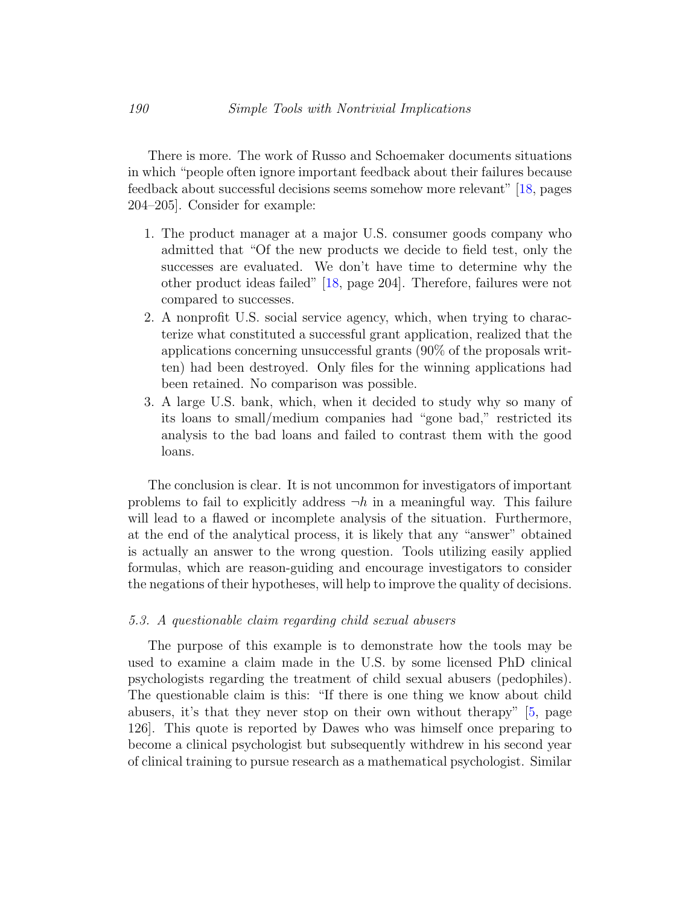There is more. The work of Russo and Schoemaker documents situations in which "people often ignore important feedback about their failures because feedback about successful decisions seems somehow more relevant" [\[18,](#page-22-9) pages 204–205]. Consider for example:

- 1. The product manager at a major U.S. consumer goods company who admitted that "Of the new products we decide to field test, only the successes are evaluated. We don't have time to determine why the other product ideas failed" [\[18,](#page-22-9) page 204]. Therefore, failures were not compared to successes.
- 2. A nonprofit U.S. social service agency, which, when trying to characterize what constituted a successful grant application, realized that the applications concerning unsuccessful grants (90% of the proposals written) had been destroyed. Only files for the winning applications had been retained. No comparison was possible.
- 3. A large U.S. bank, which, when it decided to study why so many of its loans to small/medium companies had "gone bad," restricted its analysis to the bad loans and failed to contrast them with the good loans.

The conclusion is clear. It is not uncommon for investigators of important problems to fail to explicitly address  $\neg h$  in a meaningful way. This failure will lead to a flawed or incomplete analysis of the situation. Furthermore, at the end of the analytical process, it is likely that any "answer" obtained is actually an answer to the wrong question. Tools utilizing easily applied formulas, which are reason-guiding and encourage investigators to consider the negations of their hypotheses, will help to improve the quality of decisions.

#### <span id="page-13-0"></span>5.3. A questionable claim regarding child sexual abusers

The purpose of this example is to demonstrate how the tools may be used to examine a claim made in the U.S. by some licensed PhD clinical psychologists regarding the treatment of child sexual abusers (pedophiles). The questionable claim is this: "If there is one thing we know about child abusers, it's that they never stop on their own without therapy" [\[5,](#page-21-6) page 126]. This quote is reported by Dawes who was himself once preparing to become a clinical psychologist but subsequently withdrew in his second year of clinical training to pursue research as a mathematical psychologist. Similar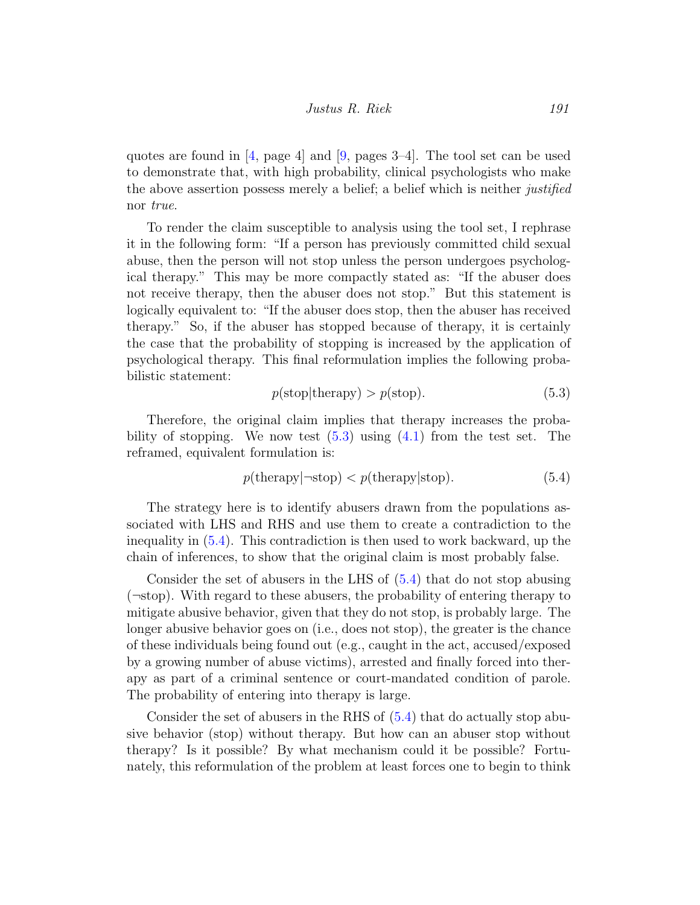quotes are found in  $[4, \text{ page } 4]$  $[4, \text{ page } 4]$  and  $[9, \text{ pages } 3-4]$  $[9, \text{ pages } 3-4]$ . The tool set can be used to demonstrate that, with high probability, clinical psychologists who make the above assertion possess merely a belief; a belief which is neither *justified* nor true.

To render the claim susceptible to analysis using the tool set, I rephrase it in the following form: "If a person has previously committed child sexual abuse, then the person will not stop unless the person undergoes psychological therapy." This may be more compactly stated as: "If the abuser does not receive therapy, then the abuser does not stop." But this statement is logically equivalent to: "If the abuser does stop, then the abuser has received therapy." So, if the abuser has stopped because of therapy, it is certainly the case that the probability of stopping is increased by the application of psychological therapy. This final reformulation implies the following probabilistic statement:

<span id="page-14-1"></span><span id="page-14-0"></span>
$$
p(\text{stop}|\text{therapy}) > p(\text{stop}).\tag{5.3}
$$

Therefore, the original claim implies that therapy increases the probability of stopping. We now test  $(5.3)$  using  $(4.1)$  from the test set. The reframed, equivalent formulation is:

$$
p(\text{therapy}|\text{-stop}) < p(\text{therapy}|\text{stop}).\tag{5.4}
$$

The strategy here is to identify abusers drawn from the populations associated with LHS and RHS and use them to create a contradiction to the inequality in [\(5.4\)](#page-14-1). This contradiction is then used to work backward, up the chain of inferences, to show that the original claim is most probably false.

Consider the set of abusers in the LHS of [\(5.4\)](#page-14-1) that do not stop abusing (¬stop). With regard to these abusers, the probability of entering therapy to mitigate abusive behavior, given that they do not stop, is probably large. The longer abusive behavior goes on (i.e., does not stop), the greater is the chance of these individuals being found out (e.g., caught in the act, accused/exposed by a growing number of abuse victims), arrested and finally forced into therapy as part of a criminal sentence or court-mandated condition of parole. The probability of entering into therapy is large.

Consider the set of abusers in the RHS of [\(5.4\)](#page-14-1) that do actually stop abusive behavior (stop) without therapy. But how can an abuser stop without therapy? Is it possible? By what mechanism could it be possible? Fortunately, this reformulation of the problem at least forces one to begin to think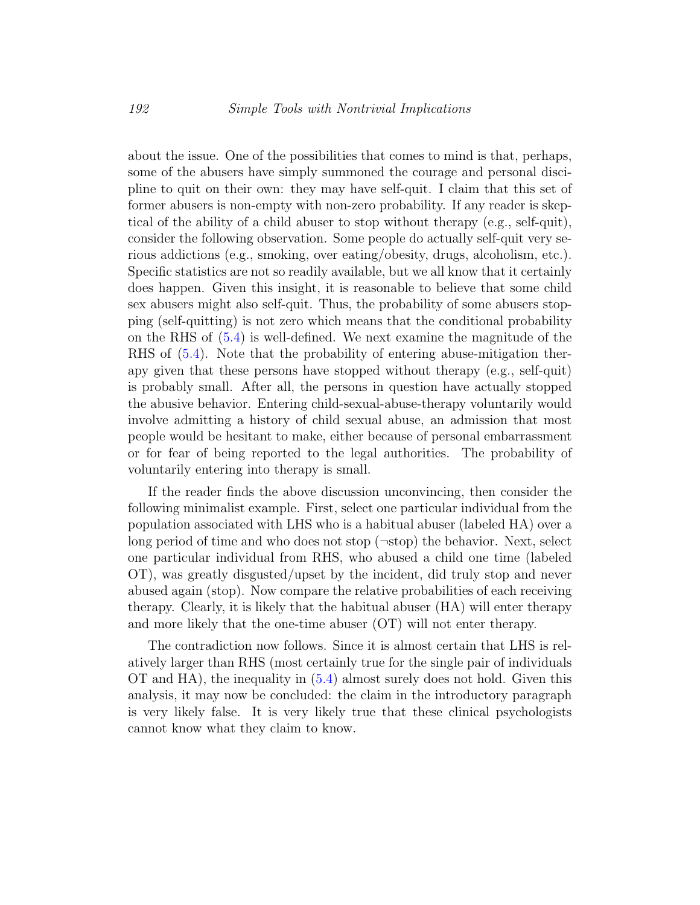about the issue. One of the possibilities that comes to mind is that, perhaps, some of the abusers have simply summoned the courage and personal discipline to quit on their own: they may have self-quit. I claim that this set of former abusers is non-empty with non-zero probability. If any reader is skeptical of the ability of a child abuser to stop without therapy (e.g., self-quit), consider the following observation. Some people do actually self-quit very serious addictions (e.g., smoking, over eating/obesity, drugs, alcoholism, etc.). Specific statistics are not so readily available, but we all know that it certainly does happen. Given this insight, it is reasonable to believe that some child sex abusers might also self-quit. Thus, the probability of some abusers stopping (self-quitting) is not zero which means that the conditional probability on the RHS of [\(5.4\)](#page-14-1) is well-defined. We next examine the magnitude of the RHS of [\(5.4\)](#page-14-1). Note that the probability of entering abuse-mitigation therapy given that these persons have stopped without therapy (e.g., self-quit) is probably small. After all, the persons in question have actually stopped the abusive behavior. Entering child-sexual-abuse-therapy voluntarily would involve admitting a history of child sexual abuse, an admission that most people would be hesitant to make, either because of personal embarrassment or for fear of being reported to the legal authorities. The probability of voluntarily entering into therapy is small.

If the reader finds the above discussion unconvincing, then consider the following minimalist example. First, select one particular individual from the population associated with LHS who is a habitual abuser (labeled HA) over a long period of time and who does not stop  $(\neg \text{stop})$  the behavior. Next, select one particular individual from RHS, who abused a child one time (labeled OT), was greatly disgusted/upset by the incident, did truly stop and never abused again (stop). Now compare the relative probabilities of each receiving therapy. Clearly, it is likely that the habitual abuser (HA) will enter therapy and more likely that the one-time abuser (OT) will not enter therapy.

The contradiction now follows. Since it is almost certain that LHS is relatively larger than RHS (most certainly true for the single pair of individuals OT and HA), the inequality in [\(5.4\)](#page-14-1) almost surely does not hold. Given this analysis, it may now be concluded: the claim in the introductory paragraph is very likely false. It is very likely true that these clinical psychologists cannot know what they claim to know.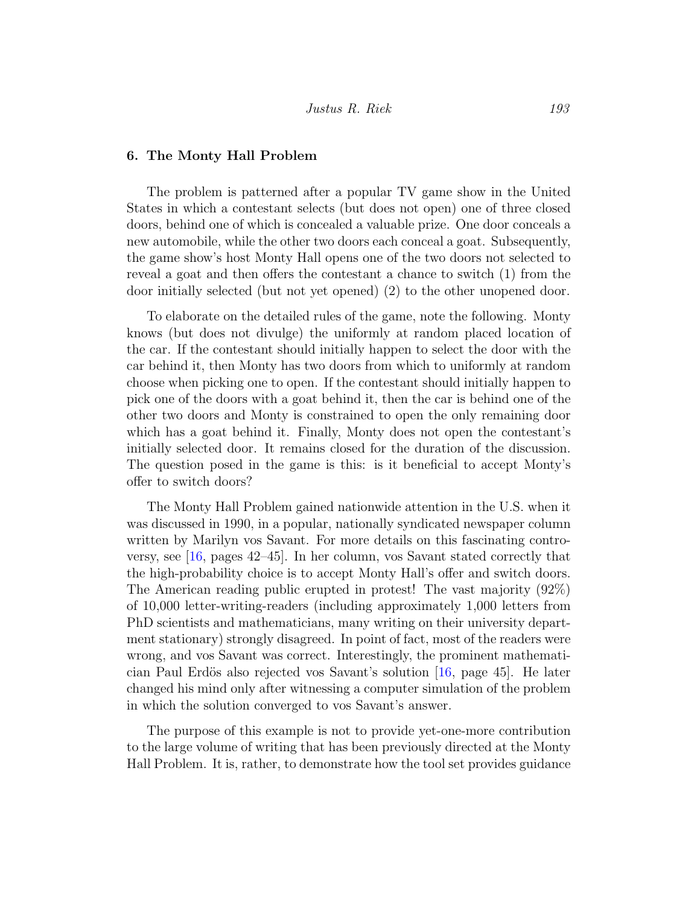#### 6. The Monty Hall Problem

The problem is patterned after a popular TV game show in the United States in which a contestant selects (but does not open) one of three closed doors, behind one of which is concealed a valuable prize. One door conceals a new automobile, while the other two doors each conceal a goat. Subsequently, the game show's host Monty Hall opens one of the two doors not selected to reveal a goat and then offers the contestant a chance to switch (1) from the door initially selected (but not yet opened) (2) to the other unopened door.

To elaborate on the detailed rules of the game, note the following. Monty knows (but does not divulge) the uniformly at random placed location of the car. If the contestant should initially happen to select the door with the car behind it, then Monty has two doors from which to uniformly at random choose when picking one to open. If the contestant should initially happen to pick one of the doors with a goat behind it, then the car is behind one of the other two doors and Monty is constrained to open the only remaining door which has a goat behind it. Finally, Monty does not open the contestant's initially selected door. It remains closed for the duration of the discussion. The question posed in the game is this: is it beneficial to accept Monty's offer to switch doors?

The Monty Hall Problem gained nationwide attention in the U.S. when it was discussed in 1990, in a popular, nationally syndicated newspaper column written by Marilyn vos Savant. For more details on this fascinating controversy, see  $[16,$  pages  $42-45]$ . In her column, vos Savant stated correctly that the high-probability choice is to accept Monty Hall's offer and switch doors. The American reading public erupted in protest! The vast majority (92%) of 10,000 letter-writing-readers (including approximately 1,000 letters from PhD scientists and mathematicians, many writing on their university department stationary) strongly disagreed. In point of fact, most of the readers were wrong, and vos Savant was correct. Interestingly, the prominent mathemati-cian Paul Erdös also rejected vos Savant's solution [\[16,](#page-22-11) page 45]. He later changed his mind only after witnessing a computer simulation of the problem in which the solution converged to vos Savant's answer.

The purpose of this example is not to provide yet-one-more contribution to the large volume of writing that has been previously directed at the Monty Hall Problem. It is, rather, to demonstrate how the tool set provides guidance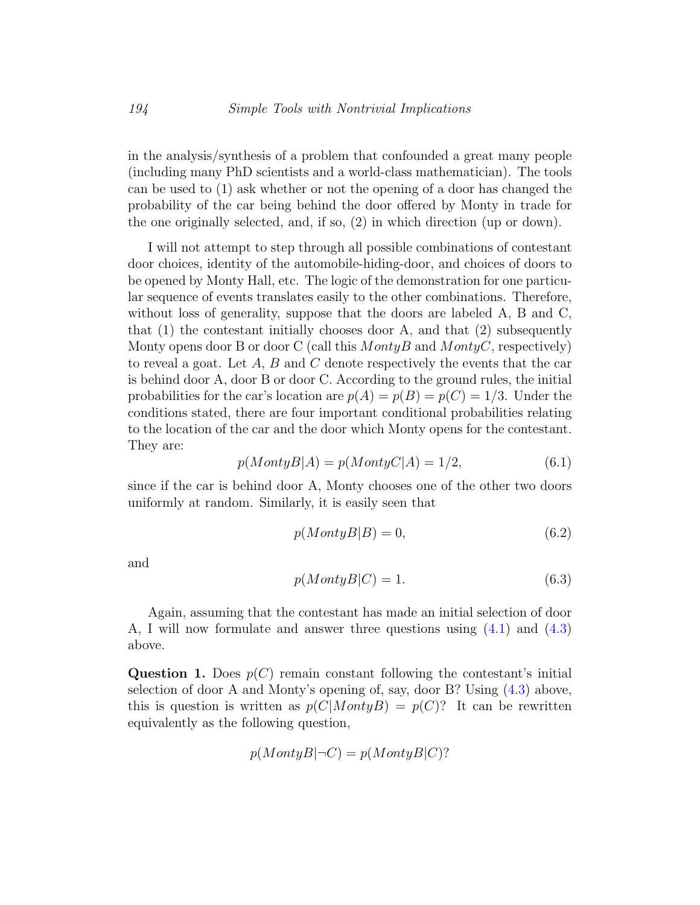in the analysis/synthesis of a problem that confounded a great many people (including many PhD scientists and a world-class mathematician). The tools can be used to (1) ask whether or not the opening of a door has changed the probability of the car being behind the door offered by Monty in trade for the one originally selected, and, if so, (2) in which direction (up or down).

I will not attempt to step through all possible combinations of contestant door choices, identity of the automobile-hiding-door, and choices of doors to be opened by Monty Hall, etc. The logic of the demonstration for one particular sequence of events translates easily to the other combinations. Therefore, without loss of generality, suppose that the doors are labeled A, B and C, that  $(1)$  the contestant initially chooses door A, and that  $(2)$  subsequently Monty opens door B or door C (call this  $MontyB$  and  $MontyC$ , respectively) to reveal a goat. Let  $A, B$  and  $C$  denote respectively the events that the car is behind door A, door B or door C. According to the ground rules, the initial probabilities for the car's location are  $p(A) = p(B) = p(C) = 1/3$ . Under the conditions stated, there are four important conditional probabilities relating to the location of the car and the door which Monty opens for the contestant. They are:

$$
p(MontyB|A) = p(MontyC|A) = 1/2,
$$
\n(6.1)

since if the car is behind door A, Monty chooses one of the other two doors uniformly at random. Similarly, it is easily seen that

$$
p(MontyB|B) = 0,\t\t(6.2)
$$

and

$$
p(MontyB|C) = 1.
$$
\n<sup>(6.3)</sup>

Again, assuming that the contestant has made an initial selection of door A, I will now formulate and answer three questions using [\(4.1\)](#page-7-0) and [\(4.3\)](#page-7-1) above.

Question 1. Does  $p(C)$  remain constant following the contestant's initial selection of door A and Monty's opening of, say, door B? Using [\(4.3\)](#page-7-1) above, this is question is written as  $p(C|MontyB) = p(C)$ ? It can be rewritten equivalently as the following question,

$$
p(MontyB|\neg C) = p(MontyB|C)?
$$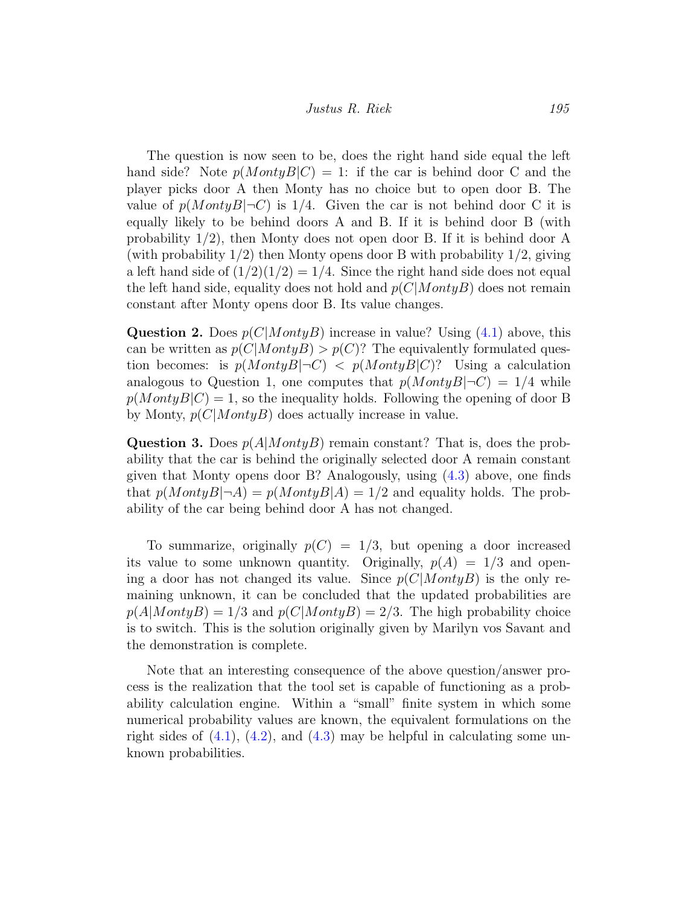The question is now seen to be, does the right hand side equal the left hand side? Note  $p(MontyB|C) = 1$ : if the car is behind door C and the player picks door A then Monty has no choice but to open door B. The value of  $p(MontyB|\neg C)$  is 1/4. Given the car is not behind door C it is equally likely to be behind doors A and B. If it is behind door B (with probability 1/2), then Monty does not open door B. If it is behind door A (with probability  $1/2$ ) then Monty opens door B with probability  $1/2$ , giving a left hand side of  $(1/2)(1/2) = 1/4$ . Since the right hand side does not equal the left hand side, equality does not hold and  $p(C|MontyB)$  does not remain constant after Monty opens door B. Its value changes.

**Question 2.** Does  $p(C|MontyB)$  increase in value? Using [\(4.1\)](#page-7-0) above, this can be written as  $p(C|MontyB) > p(C)$ ? The equivalently formulated question becomes: is  $p(MontyB|\neg C) < p(MontyB|C)$ ? Using a calculation analogous to Question 1, one computes that  $p(MontyB|\neg C) = 1/4$  while  $p(MontyB|C) = 1$ , so the inequality holds. Following the opening of door B by Monty,  $p(C|MontyB)$  does actually increase in value.

**Question 3.** Does  $p(A|MontyB)$  remain constant? That is, does the probability that the car is behind the originally selected door A remain constant given that Monty opens door B? Analogously, using [\(4.3\)](#page-7-1) above, one finds that  $p(MontyB|\neg A) = p(MontyB|A) = 1/2$  and equality holds. The probability of the car being behind door A has not changed.

To summarize, originally  $p(C) = 1/3$ , but opening a door increased its value to some unknown quantity. Originally,  $p(A) = 1/3$  and opening a door has not changed its value. Since  $p(C|MontyB)$  is the only remaining unknown, it can be concluded that the updated probabilities are  $p(A|MontyB) = 1/3$  and  $p(C|MontyB) = 2/3$ . The high probability choice is to switch. This is the solution originally given by Marilyn vos Savant and the demonstration is complete.

Note that an interesting consequence of the above question/answer process is the realization that the tool set is capable of functioning as a probability calculation engine. Within a "small" finite system in which some numerical probability values are known, the equivalent formulations on the right sides of  $(4.1)$ ,  $(4.2)$ , and  $(4.3)$  may be helpful in calculating some unknown probabilities.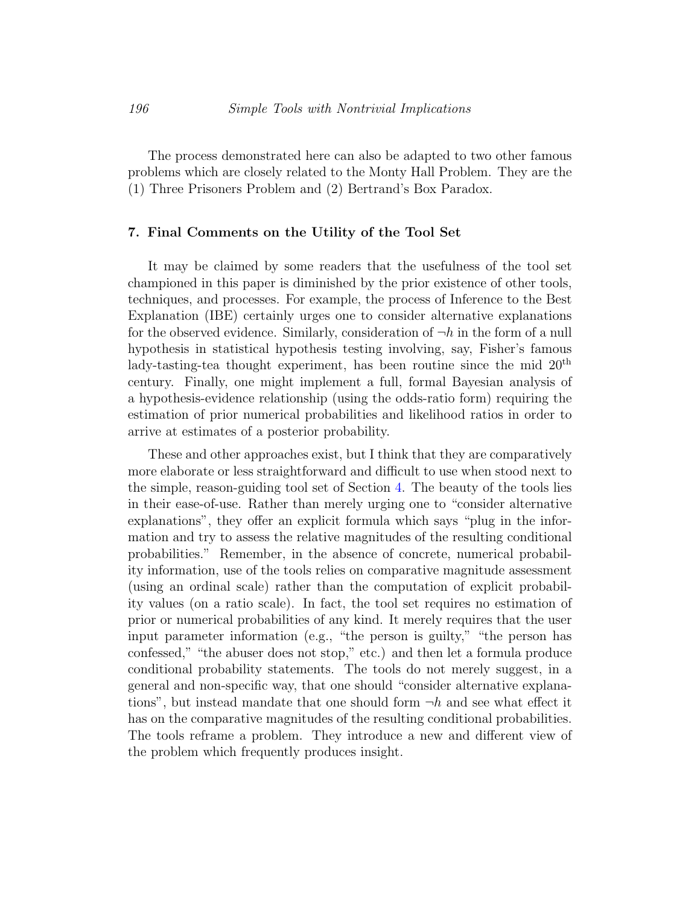The process demonstrated here can also be adapted to two other famous problems which are closely related to the Monty Hall Problem. They are the (1) Three Prisoners Problem and (2) Bertrand's Box Paradox.

#### 7. Final Comments on the Utility of the Tool Set

It may be claimed by some readers that the usefulness of the tool set championed in this paper is diminished by the prior existence of other tools, techniques, and processes. For example, the process of Inference to the Best Explanation (IBE) certainly urges one to consider alternative explanations for the observed evidence. Similarly, consideration of  $\neg h$  in the form of a null hypothesis in statistical hypothesis testing involving, say, Fisher's famous lady-tasting-tea thought experiment, has been routine since the mid  $20<sup>th</sup>$ century. Finally, one might implement a full, formal Bayesian analysis of a hypothesis-evidence relationship (using the odds-ratio form) requiring the estimation of prior numerical probabilities and likelihood ratios in order to arrive at estimates of a posterior probability.

These and other approaches exist, but I think that they are comparatively more elaborate or less straightforward and difficult to use when stood next to the simple, reason-guiding tool set of Section [4.](#page-6-0) The beauty of the tools lies in their ease-of-use. Rather than merely urging one to "consider alternative explanations", they offer an explicit formula which says "plug in the information and try to assess the relative magnitudes of the resulting conditional probabilities." Remember, in the absence of concrete, numerical probability information, use of the tools relies on comparative magnitude assessment (using an ordinal scale) rather than the computation of explicit probability values (on a ratio scale). In fact, the tool set requires no estimation of prior or numerical probabilities of any kind. It merely requires that the user input parameter information (e.g., "the person is guilty," "the person has confessed," "the abuser does not stop," etc.) and then let a formula produce conditional probability statements. The tools do not merely suggest, in a general and non-specific way, that one should "consider alternative explanations", but instead mandate that one should form  $\neg h$  and see what effect it has on the comparative magnitudes of the resulting conditional probabilities. The tools reframe a problem. They introduce a new and different view of the problem which frequently produces insight.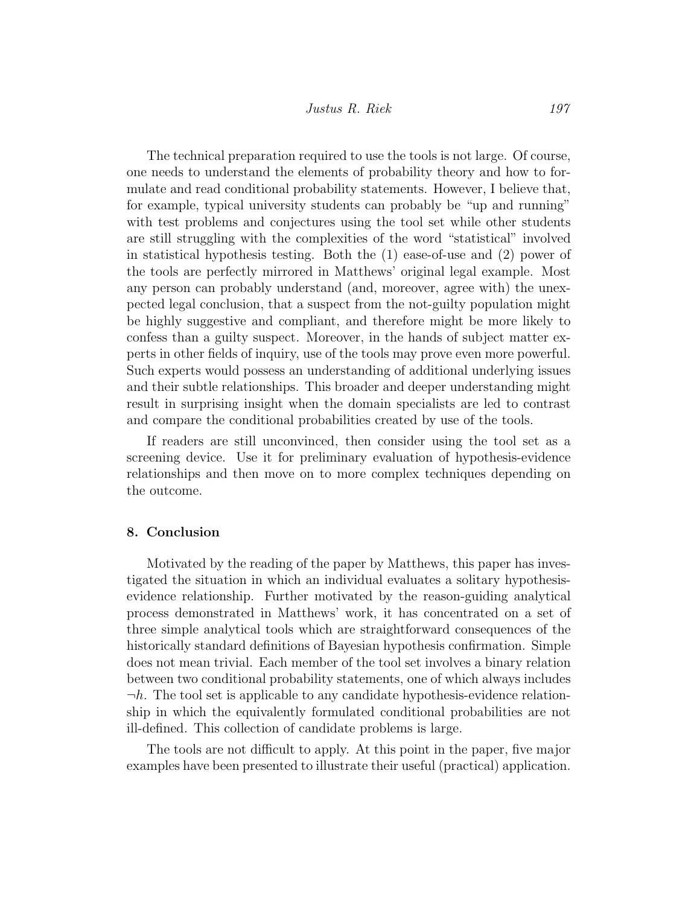The technical preparation required to use the tools is not large. Of course, one needs to understand the elements of probability theory and how to formulate and read conditional probability statements. However, I believe that, for example, typical university students can probably be "up and running" with test problems and conjectures using the tool set while other students are still struggling with the complexities of the word "statistical" involved in statistical hypothesis testing. Both the (1) ease-of-use and (2) power of the tools are perfectly mirrored in Matthews' original legal example. Most any person can probably understand (and, moreover, agree with) the unexpected legal conclusion, that a suspect from the not-guilty population might be highly suggestive and compliant, and therefore might be more likely to confess than a guilty suspect. Moreover, in the hands of subject matter experts in other fields of inquiry, use of the tools may prove even more powerful. Such experts would possess an understanding of additional underlying issues and their subtle relationships. This broader and deeper understanding might result in surprising insight when the domain specialists are led to contrast and compare the conditional probabilities created by use of the tools.

If readers are still unconvinced, then consider using the tool set as a screening device. Use it for preliminary evaluation of hypothesis-evidence relationships and then move on to more complex techniques depending on the outcome.

#### 8. Conclusion

Motivated by the reading of the paper by Matthews, this paper has investigated the situation in which an individual evaluates a solitary hypothesisevidence relationship. Further motivated by the reason-guiding analytical process demonstrated in Matthews' work, it has concentrated on a set of three simple analytical tools which are straightforward consequences of the historically standard definitions of Bayesian hypothesis confirmation. Simple does not mean trivial. Each member of the tool set involves a binary relation between two conditional probability statements, one of which always includes  $\neg h$ . The tool set is applicable to any candidate hypothesis-evidence relationship in which the equivalently formulated conditional probabilities are not ill-defined. This collection of candidate problems is large.

The tools are not difficult to apply. At this point in the paper, five major examples have been presented to illustrate their useful (practical) application.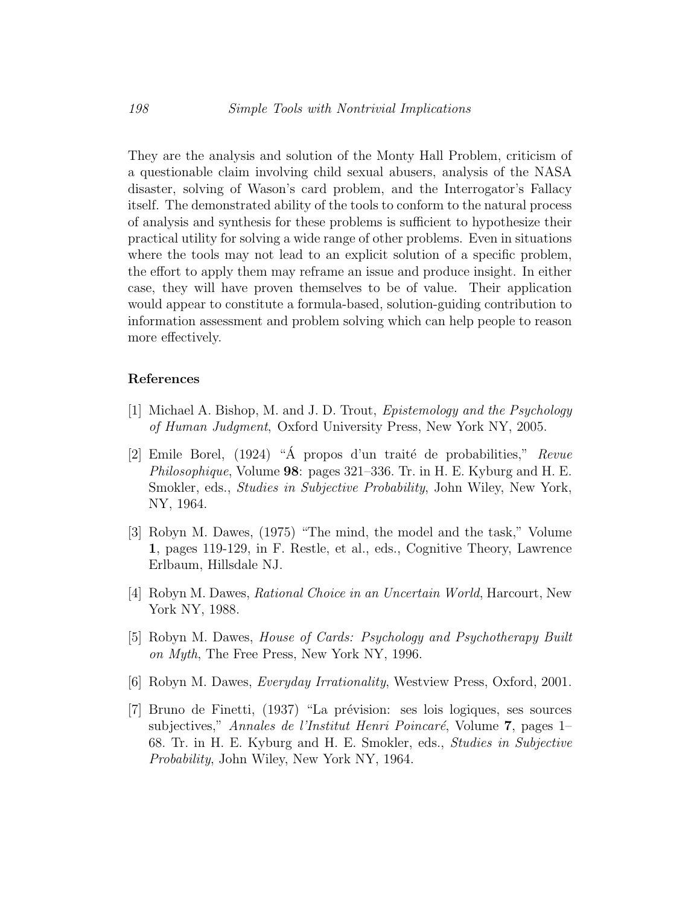They are the analysis and solution of the Monty Hall Problem, criticism of a questionable claim involving child sexual abusers, analysis of the NASA disaster, solving of Wason's card problem, and the Interrogator's Fallacy itself. The demonstrated ability of the tools to conform to the natural process of analysis and synthesis for these problems is sufficient to hypothesize their practical utility for solving a wide range of other problems. Even in situations where the tools may not lead to an explicit solution of a specific problem, the effort to apply them may reframe an issue and produce insight. In either case, they will have proven themselves to be of value. Their application would appear to constitute a formula-based, solution-guiding contribution to information assessment and problem solving which can help people to reason more effectively.

#### References

- <span id="page-21-0"></span>[1] Michael A. Bishop, M. and J. D. Trout, Epistemology and the Psychology of Human Judgment, Oxford University Press, New York NY, 2005.
- <span id="page-21-1"></span>[2] Emile Borel,  $(1924)$  " $\AA$  propos d'un traité de probabilities," Revue Philosophique, Volume 98: pages 321–336. Tr. in H. E. Kyburg and H. E. Smokler, eds., Studies in Subjective Probability, John Wiley, New York, NY, 1964.
- <span id="page-21-4"></span>[3] Robyn M. Dawes, (1975) "The mind, the model and the task," Volume 1, pages 119-129, in F. Restle, et al., eds., Cognitive Theory, Lawrence Erlbaum, Hillsdale NJ.
- <span id="page-21-3"></span>[4] Robyn M. Dawes, Rational Choice in an Uncertain World, Harcourt, New York NY, 1988.
- <span id="page-21-6"></span>[5] Robyn M. Dawes, House of Cards: Psychology and Psychotherapy Built on Myth, The Free Press, New York NY, 1996.
- <span id="page-21-5"></span>[6] Robyn M. Dawes, Everyday Irrationality, Westview Press, Oxford, 2001.
- <span id="page-21-2"></span>[7] Bruno de Finetti, (1937) "La prévision: ses lois logiques, ses sources subjectives," Annales de l'Institut Henri Poincaré, Volume 7, pages 1– 68. Tr. in H. E. Kyburg and H. E. Smokler, eds., Studies in Subjective Probability, John Wiley, New York NY, 1964.